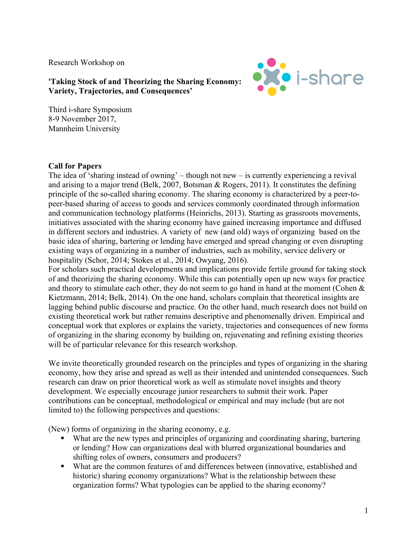Research Workshop on

**OXO** i-share

**'Taking Stock of and Theorizing the Sharing Economy: Variety, Trajectories, and Consequences'**

Third i-share Symposium 8-9 November 2017, Mannheim University

## **Call for Papers**

The idea of 'sharing instead of owning' – though not new – is currently experiencing a revival and arising to a major trend (Belk, 2007, Botsman & Rogers, 2011). It constitutes the defining principle of the so-called sharing economy. The sharing economy is characterized by a peer-topeer-based sharing of access to goods and services commonly coordinated through information and communication technology platforms (Heinrichs, 2013). Starting as grassroots movements, initiatives associated with the sharing economy have gained increasing importance and diffused in different sectors and industries. A variety of new (and old) ways of organizing based on the basic idea of sharing, bartering or lending have emerged and spread changing or even disrupting existing ways of organizing in a number of industries, such as mobility, service delivery or hospitality (Schor, 2014; Stokes et al., 2014; Owyang, 2016).

For scholars such practical developments and implications provide fertile ground for taking stock of and theorizing the sharing economy. While this can potentially open up new ways for practice and theory to stimulate each other, they do not seem to go hand in hand at the moment (Cohen & Kietzmann, 2014; Belk, 2014). On the one hand, scholars complain that theoretical insights are lagging behind public discourse and practice. On the other hand, much research does not build on existing theoretical work but rather remains descriptive and phenomenally driven. Empirical and conceptual work that explores or explains the variety, trajectories and consequences of new forms of organizing in the sharing economy by building on, rejuvenating and refining existing theories will be of particular relevance for this research workshop.

We invite theoretically grounded research on the principles and types of organizing in the sharing economy, how they arise and spread as well as their intended and unintended consequences. Such research can draw on prior theoretical work as well as stimulate novel insights and theory development. We especially encourage junior researchers to submit their work. Paper contributions can be conceptual, methodological or empirical and may include (but are not limited to) the following perspectives and questions:

(New) forms of organizing in the sharing economy, e.g.

- What are the new types and principles of organizing and coordinating sharing, bartering or lending? How can organizations deal with blurred organizational boundaries and shifting roles of owners, consumers and producers?
- What are the common features of and differences between (innovative, established and historic) sharing economy organizations? What is the relationship between these organization forms? What typologies can be applied to the sharing economy?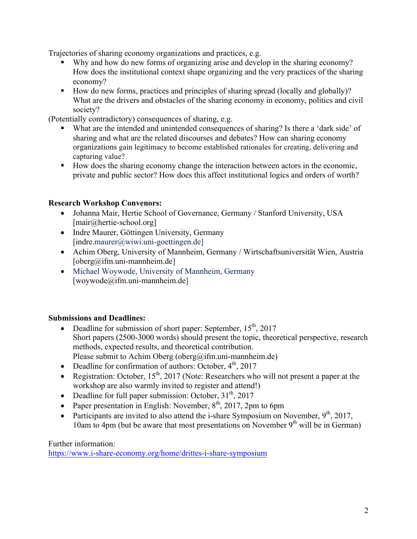Trajectories of sharing economy organizations and practices, e.g.

- Why and how do new forms of organizing arise and develop in the sharing economy? How does the institutional context shape organizing and the very practices of the sharing economy?
- How do new forms, practices and principles of sharing spread (locally and globally)? What are the drivers and obstacles of the sharing economy in economy, politics and civil society?

(Potentially contradictory) consequences of sharing, e.g.

- What are the intended and unintended consequences of sharing? Is there a 'dark side' of sharing and what are the related discourses and debates? How can sharing economy organizations gain legitimacy to become established rationales for creating, delivering and capturing value?
- How does the sharing economy change the interaction between actors in the economic, private and public sector? How does this affect institutional logics and orders of worth?

## **Research Workshop Convenors:**

- Johanna Mair, Hertie School of Governance, Germany / Stanford University, USA [mair@hertie-school.org]
- Indre Maurer, Göttingen University, Germany  $[indre.maxier@wiwi.uni-goettingen.de]$
- Achim Oberg, University of Mannheim, Germany / Wirtschaftsuniversität Wien, Austria [oberg@ifm.uni-mannheim.de]
- Michael Woywode, University of Mannheim, Germany [woywode@ifm.uni-mannheim.de]

## **Submissions and Deadlines:**

- Deadline for submission of short paper: September,  $15<sup>th</sup>$ , 2017 Short papers (2500-3000 words) should present the topic, theoretical perspective, research methods, expected results, and theoretical contribution. Please submit to Achim Oberg (oberg@ifm.uni-mannheim.de)
- Deadline for confirmation of authors: October,  $4<sup>th</sup>$ , 2017
- Registration: October,  $15<sup>th</sup>$ , 2017 (Note: Researchers who will not present a paper at the workshop are also warmly invited to register and attend!)
- Deadline for full paper submission: October,  $31<sup>th</sup>$ , 2017
- Paper presentation in English: November,  $8<sup>th</sup>$ , 2017, 2pm to 6pm
- Participants are invited to also attend the i-share Symposium on November,  $9<sup>th</sup>$ , 2017, 10am to 4pm (but be aware that most presentations on November  $9<sup>th</sup>$  will be in German)

Further information:

https://www.i-share-economy.org/home/drittes-i-share-symposium